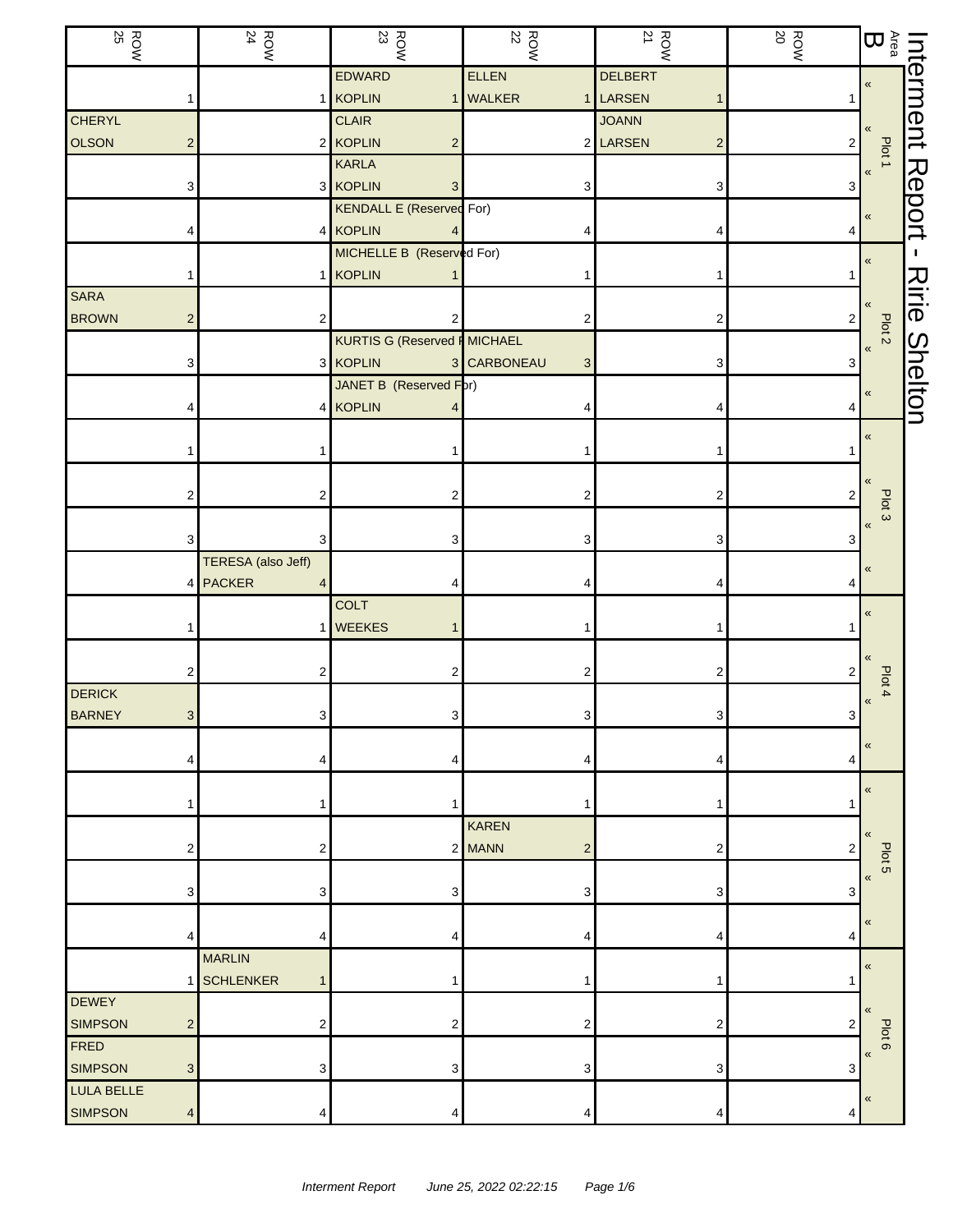| <b>ROW</b><br>25                 | <b>ROW</b><br>24             | $\frac{ROW}{23}$                                 | $\frac{ROW}{22}$ | <b>ROW</b>                          | $\frac{ROW}{20}$ | $\sum\limits_{\alpha\in\mathbb{G}}\mathbb{D}$ |                |
|----------------------------------|------------------------------|--------------------------------------------------|------------------|-------------------------------------|------------------|-----------------------------------------------|----------------|
|                                  |                              | EDWARD                                           | ELLEN            | <b>DELBERT</b>                      |                  | $\pmb{\mathfrak{C}}$                          | Interment      |
|                                  |                              | 1 KOPLIN                                         | 1 WALKER         | LARSEN<br>$\mathbf{1}$              |                  |                                               |                |
| <b>CHERYL</b>                    |                              | <b>CLAIR</b>                                     |                  | <b>JOANN</b>                        |                  |                                               |                |
| <b>OLSON</b><br>$\overline{c}$   |                              | 2 KOPLIN<br>$\overline{c}$                       |                  | 2 LARSEN<br>$\overline{\mathbf{c}}$ | $\overline{c}$   | Plot 1                                        |                |
|                                  |                              | <b>KARLA</b>                                     |                  |                                     |                  | $\pmb{\langle} \pmb{\langle}$                 |                |
| 3                                |                              | 3 KOPLIN<br>3<br><b>KENDALL E (Reserved For)</b> | 3                | 3                                   | 3                |                                               | Report         |
|                                  |                              | 4 KOPLIN                                         |                  | 4                                   | 4                | $\pmb{\ll}$                                   |                |
|                                  |                              | MICHELLE B (Reserved For)                        |                  |                                     |                  |                                               |                |
|                                  |                              | 1 KOPLIN                                         |                  | 1                                   |                  | $\pmb{\ll}$                                   |                |
| <b>SARA</b>                      |                              |                                                  |                  |                                     |                  | «                                             | スミー            |
| <b>BROWN</b><br>2                | 2                            | 2                                                | 2                | $\overline{\mathbf{c}}$             | 2                | Plot <sub>2</sub>                             |                |
|                                  |                              | KURTIS G (Reserved F MICHAEL                     |                  |                                     |                  | $\pmb{\kappa}$                                |                |
| 3                                |                              | 3 KOPLIN                                         | 3 CARBONEAU<br>3 | 3                                   | 3                |                                               |                |
|                                  |                              | JANET B (Reserved Fpr)                           |                  |                                     |                  | $\pmb{\ll}$                                   | <b>Shelton</b> |
|                                  |                              | 4 KOPLIN                                         |                  | 4                                   | 4                |                                               |                |
|                                  |                              |                                                  |                  |                                     |                  | $\pmb{\ll}$                                   |                |
|                                  |                              |                                                  |                  |                                     |                  |                                               |                |
|                                  | 2<br>2                       | 2                                                |                  | 2                                   | 2                |                                               |                |
|                                  |                              |                                                  |                  |                                     |                  | Plot <sub>3</sub>                             |                |
|                                  | 3                            | 3                                                | 3                | 3                                   | 3                | $\pmb{\langle} \pmb{\langle}$                 |                |
|                                  | <b>TERESA</b> (also Jeff)    |                                                  |                  |                                     |                  | $\pmb{\mathfrak{C}}$                          |                |
|                                  | <b>PACKER</b><br>4<br>4      | 4                                                |                  | 4                                   |                  |                                               |                |
|                                  |                              | <b>COLT</b>                                      |                  |                                     |                  | $\pmb{\ll}$                                   |                |
|                                  | $\mathbf{1}$                 | <b>WEEKES</b><br>$\mathbf 1$                     |                  | 1                                   |                  |                                               |                |
|                                  |                              |                                                  |                  |                                     |                  | $\ll$                                         |                |
|                                  | 2<br>2                       | 2                                                | 2                | 2                                   | 2                | Plot 4                                        |                |
| <b>DERICK</b>                    |                              |                                                  |                  |                                     |                  | $\pmb{\kappa}$                                |                |
| <b>BARNEY</b>                    | $\overline{\mathbf{3}}$<br>3 | 3 <sup>1</sup>                                   | $3\vert$         | 3                                   | 3                |                                               |                |
| 4                                | 4                            | 4                                                |                  | 4                                   | 4                | $\pmb{\langle} \pmb{\langle}$                 |                |
|                                  |                              |                                                  |                  |                                     |                  |                                               |                |
|                                  | 1                            | 1                                                |                  | 1                                   |                  | $\pmb{\ll}$                                   |                |
|                                  |                              |                                                  | <b>KAREN</b>     |                                     |                  | $\ll$                                         |                |
| 2                                | 2                            |                                                  | 2 MANN<br>2      | 2                                   | $\overline{2}$   | Plot 5                                        |                |
|                                  |                              |                                                  |                  |                                     |                  | $\pmb{\langle} \pmb{\langle}$                 |                |
| 3                                | 3                            | 3                                                | 3                | 3                                   | 3                |                                               |                |
|                                  |                              |                                                  |                  |                                     |                  | $\pmb{\langle} \pmb{\langle}$                 |                |
| 4                                | 4                            | 4                                                |                  | 4                                   | 4                |                                               |                |
|                                  | <b>MARLIN</b>                |                                                  |                  |                                     |                  | $\pmb{\langle} \pmb{\langle}$                 |                |
| <b>DEWEY</b>                     | <b>SCHLENKER</b><br>1        | 1                                                |                  | 1                                   |                  |                                               |                |
| <b>SIMPSON</b><br>$\overline{c}$ | 2                            | $\overline{\mathbf{c}}$                          | 2                | 2                                   | 2                | $\ll$                                         |                |
| FRED                             |                              |                                                  |                  |                                     |                  | Plot 6                                        |                |
| <b>SIMPSON</b><br>$\mathbf{3}$   | 3                            | 3                                                | 3                | 3                                   | 3                | $\pmb{\langle} \pmb{\langle}$                 |                |
| LULA BELLE                       |                              |                                                  |                  |                                     |                  |                                               |                |
| <b>SIMPSON</b><br>4              | 4                            | 4                                                | 4                | 4                                   | 4                | «                                             |                |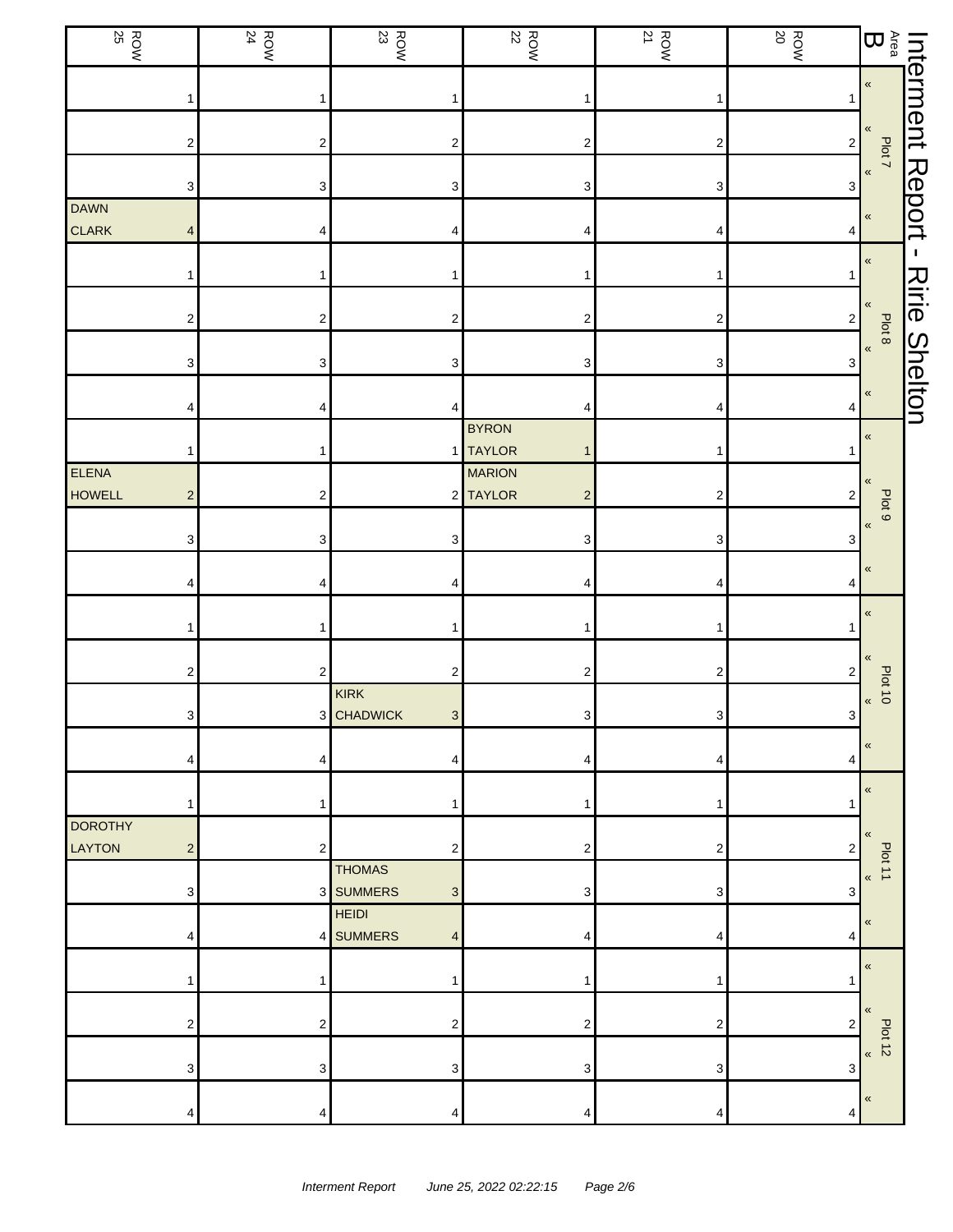| $\frac{ROW}{25}$                                  | <b>ROW</b><br>24        | $\frac{1}{23}$                                          | $\frac{ROW}{22}$                          | $\frac{ROW}{21}$          | $\begin{array}{c}\n\hline\n\text{ROW} \\ \hline\n\end{array}$ |                                                                                                                                                       |                      |
|---------------------------------------------------|-------------------------|---------------------------------------------------------|-------------------------------------------|---------------------------|---------------------------------------------------------------|-------------------------------------------------------------------------------------------------------------------------------------------------------|----------------------|
|                                                   | 1                       | 1                                                       |                                           | 1                         |                                                               | Interment Report<br>$\begin{array}{cc} \frac{\text{Area}}{\text{Per}} & \frac{\text{Piot} }{\text{Per}} \ \text{B} & \text{F} & \text{F} \end{array}$ |                      |
| 2                                                 | $\overline{\mathbf{c}}$ | $\mathbf 2$                                             | $\boldsymbol{2}$                          | $\boldsymbol{2}$          | $\mathbf{2}$                                                  |                                                                                                                                                       |                      |
| 3                                                 | 3                       | 3                                                       | 3                                         | 3                         | 3                                                             |                                                                                                                                                       |                      |
| DAWN<br><b>CLARK</b><br>4                         | 4                       | 4                                                       | 4                                         | 4                         | 4                                                             |                                                                                                                                                       |                      |
|                                                   | 1                       | $\mathbf{1}$                                            |                                           | 1                         | 1                                                             | $\pmb{\ll}$                                                                                                                                           | $\blacksquare$       |
| 2                                                 | $\overline{\mathbf{c}}$ | $\boldsymbol{2}$                                        | 2                                         | $\boldsymbol{2}$          | $\sqrt{2}$                                                    | «                                                                                                                                                     | <b>Ririe Shelton</b> |
| 3                                                 | 3                       | 3                                                       | 3                                         | $\ensuremath{\mathsf{3}}$ | 3                                                             | Plot 8<br>$\pmb{\kappa}$                                                                                                                              |                      |
|                                                   | 4                       | 4                                                       |                                           | 4                         | 4                                                             | $\pmb{\ll}$                                                                                                                                           |                      |
|                                                   | 1                       |                                                         | <b>BYRON</b><br>1 TAYLOR                  | 1                         |                                                               | $\pmb{\kappa}$                                                                                                                                        |                      |
| ELENA<br><b>HOWELL</b><br>$\mathbf 2$             | $\boldsymbol{2}$        |                                                         | <b>MARION</b><br>2 TAYLOR<br>$\mathbf{2}$ | $\boldsymbol{2}$          | $\overline{\mathbf{c}}$                                       | «                                                                                                                                                     |                      |
| 3                                                 | 3                       | 3                                                       | 3                                         | 3                         | 3                                                             | Plot 9<br>$\pmb{\langle}$                                                                                                                             |                      |
| 4                                                 | 4                       | 4                                                       | 4                                         | 4                         | 4                                                             | $\pmb{\langle}$                                                                                                                                       |                      |
|                                                   | 1                       | 1                                                       |                                           | 1                         |                                                               | $\pmb{\ll}$                                                                                                                                           |                      |
| 2                                                 | $\sqrt{2}$              | 2                                                       | 2                                         | 2                         | 2                                                             | $\pmb{\langle}$                                                                                                                                       |                      |
| $\mathbf{3}$                                      |                         | KIRK<br>3 CHADWICK<br>$\mathbf{3}$                      | $\mathbf{3}$                              | $\mathbf{3}$              | $\mathbf 3$                                                   | <b>Plot 10</b><br>$\pmb{\kappa}$                                                                                                                      |                      |
|                                                   | 4                       | 4                                                       |                                           | 4                         | 4                                                             | «                                                                                                                                                     |                      |
|                                                   | 1                       | 1                                                       |                                           | 1                         |                                                               | $\pmb{\langle}$                                                                                                                                       |                      |
| <b>DOROTHY</b><br><b>LAYTON</b><br>$\overline{2}$ | $\overline{2}$          | $\overline{c}$                                          | 2                                         | 2                         | $\overline{c}$                                                | $\pmb{\ll}$                                                                                                                                           |                      |
| 3                                                 |                         | <b>THOMAS</b><br>3 SUMMERS<br>$\ensuremath{\mathsf{3}}$ | 3                                         | 3                         | 3                                                             | Plot 11<br>$\pmb{\langle}$                                                                                                                            |                      |
| 4                                                 |                         | <b>HEIDI</b><br>4 SUMMERS<br>4                          | 4                                         | 4                         | 4                                                             | $\pmb{\ll}$                                                                                                                                           |                      |
|                                                   | 1                       | 1                                                       |                                           | 1                         |                                                               | $\pmb{\ll}$                                                                                                                                           |                      |
| 2                                                 | $\overline{\mathbf{c}}$ | 2                                                       | 2                                         | 2                         | 2                                                             | «                                                                                                                                                     |                      |
| 3                                                 | 3                       | 3                                                       | 3                                         | 3                         | 3                                                             | Plot 12                                                                                                                                               |                      |
| Δ                                                 | 4                       | 4                                                       | 4                                         | 4                         | 4                                                             | $\pmb{\ll}$                                                                                                                                           |                      |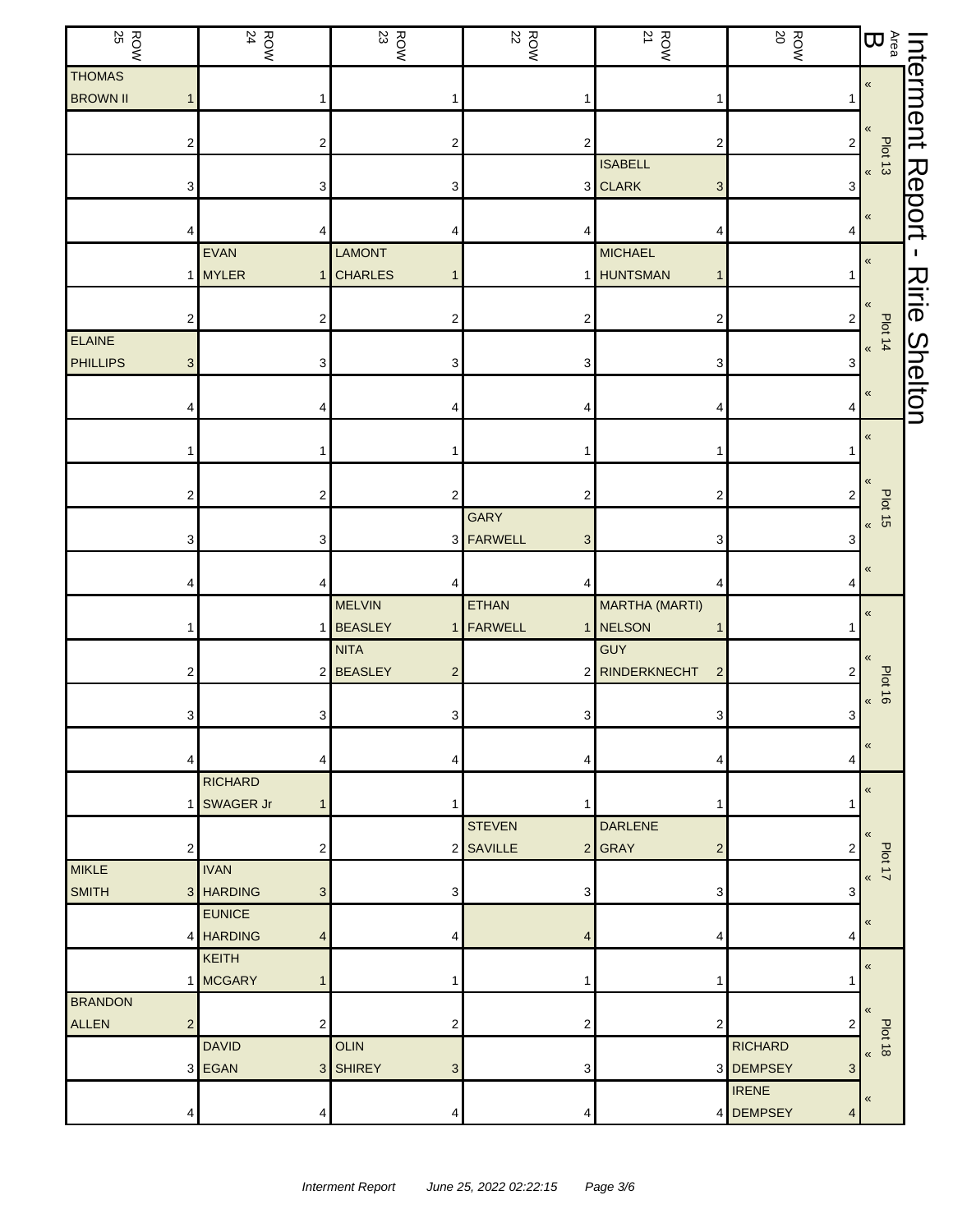| $\frac{ROW}{25}$ |              | <b>ROW</b><br>24 |                         | $\frac{1}{23}$            | <b>ROW</b><br>22 |                | $\frac{ROW}{21}$      |                           | <b>ROW</b><br>20 |                           | $\sum_{\alpha\in\mathbb{Q}}$    | Interment      |
|------------------|--------------|------------------|-------------------------|---------------------------|------------------|----------------|-----------------------|---------------------------|------------------|---------------------------|---------------------------------|----------------|
| <b>THOMAS</b>    |              |                  |                         |                           |                  |                |                       |                           |                  |                           | $\pmb{\ll}$                     |                |
| <b>BROWN II</b>  |              |                  | 1                       |                           |                  |                |                       |                           |                  |                           |                                 |                |
|                  |              |                  |                         |                           |                  |                |                       |                           |                  |                           | «                               |                |
|                  | 2            |                  | 2                       | $\overline{c}$            |                  | 2              |                       | 2                         |                  | $\overline{c}$            | Plot 13<br>$\frac{1}{\sqrt{2}}$ |                |
|                  |              |                  |                         |                           |                  |                | <b>ISABELL</b>        |                           |                  |                           |                                 | Report         |
|                  | 3            |                  | 3                       | 3                         |                  |                | 3 CLARK               | $\ensuremath{\mathsf{3}}$ |                  | 3                         |                                 |                |
|                  |              |                  |                         |                           |                  |                |                       |                           |                  |                           | $\pmb{\ll}$                     |                |
|                  |              | EVAN             | 4                       | <b>LAMONT</b>             |                  |                | <b>MICHAEL</b>        | 4                         |                  | 4                         |                                 | п.             |
|                  |              | <b>MYLER</b>     |                         | 1 CHARLES                 |                  |                | <b>HUNTSMAN</b>       | 1                         |                  | 1                         | $\pmb{\langle} \pmb{\langle}$   |                |
|                  |              |                  |                         |                           |                  |                |                       |                           |                  |                           |                                 | Ririe          |
|                  | 2            |                  | $\overline{\mathbf{c}}$ | 2                         |                  | 2              |                       | 2                         |                  | 2                         | «                               |                |
| <b>ELAINE</b>    |              |                  |                         |                           |                  |                |                       |                           |                  |                           | $b$ of 14                       |                |
| <b>PHILLIPS</b>  | 3            |                  | 3                       | 3                         |                  | 3              |                       | 3                         |                  | 3                         |                                 |                |
|                  |              |                  |                         |                           |                  |                |                       |                           |                  |                           | $\pmb{\langle}$                 | <b>Shelton</b> |
|                  |              |                  | 4                       |                           |                  |                |                       | 4                         |                  | 4                         |                                 |                |
|                  |              |                  |                         |                           |                  |                |                       |                           |                  |                           | $\pmb{\ll}$                     |                |
|                  |              |                  | 1                       |                           |                  |                |                       |                           |                  |                           |                                 |                |
|                  |              |                  |                         |                           |                  |                |                       |                           |                  |                           | «                               |                |
|                  | 2            |                  | $\overline{\mathbf{c}}$ | 2                         |                  | 2              |                       | $\overline{\mathbf{c}}$   |                  | 2                         | <b>Plot 15</b>                  |                |
|                  |              |                  |                         |                           | <b>GARY</b>      |                |                       |                           |                  |                           | $\pmb{\kappa}$                  |                |
|                  | 3            |                  | 3                       |                           | 3 FARWELL        | 3              |                       | 3                         |                  | 3                         |                                 |                |
|                  |              |                  | 4                       |                           |                  |                |                       | 4                         |                  | 4                         | $\pmb{\ll}$                     |                |
|                  |              |                  |                         | <b>MELVIN</b>             | <b>ETHAN</b>     |                | <b>MARTHA (MARTI)</b> |                           |                  |                           |                                 |                |
|                  |              |                  |                         | 1 BEASLEY<br>$\mathbf{1}$ | FARWELL          |                | NELSON                | 1                         |                  |                           | $\pmb{\ll}$                     |                |
|                  |              |                  |                         | <b>NITA</b>               |                  |                | <b>GUY</b>            |                           |                  |                           |                                 |                |
|                  | 2            |                  |                         | 2 BEASLEY<br>2            |                  |                | 2 RINDERKNECHT        | $\overline{2}$            |                  | 2                         | $\pmb{\langle} \pmb{\langle}$   |                |
|                  |              |                  |                         |                           |                  |                |                       |                           |                  |                           | <b>Plot 16</b><br>$\pmb{\ll}$   |                |
|                  | $\mathbf{3}$ |                  | 3 <sup>1</sup>          | 3 <sup>1</sup>            |                  | 3 <sup>1</sup> |                       | 3                         |                  | $\ensuremath{\mathsf{3}}$ |                                 |                |
|                  |              |                  |                         |                           |                  |                |                       |                           |                  |                           | $\,\,\ll$                       |                |
|                  | 4            |                  | 4                       | 4                         |                  | 4              |                       | 4                         |                  | 4                         |                                 |                |
|                  |              | <b>RICHARD</b>   |                         |                           |                  |                |                       |                           |                  |                           | $\pmb{\langle}$                 |                |
|                  |              | <b>SWAGER Jr</b> | $\mathbf{1}$            | 1                         |                  |                |                       | 1                         |                  |                           |                                 |                |
|                  |              |                  |                         |                           | <b>STEVEN</b>    |                | <b>DARLENE</b>        |                           |                  |                           | $\pmb{\langle} \pmb{\langle}$   |                |
| <b>MIKLE</b>     | 2            | <b>IVAN</b>      | 2                       |                           | 2 SAVILLE        |                | $2$ GRAY              | $\overline{c}$            |                  | 2                         | Plot 17                         |                |
| <b>SMITH</b>     |              | 3 HARDING        | $\mathfrak{S}$          | 3                         |                  | 3              |                       | 3                         |                  | 3                         | $\pmb{\kappa}$                  |                |
|                  |              | <b>EUNICE</b>    |                         |                           |                  |                |                       |                           |                  |                           |                                 |                |
|                  |              | 4 HARDING        | $\overline{4}$          | 4                         |                  |                |                       | 4                         |                  | 4                         | $\ll$                           |                |
|                  |              | KEITH            |                         |                           |                  |                |                       |                           |                  |                           |                                 |                |
|                  |              | <b>MCGARY</b>    | $\mathbf{1}$            |                           |                  |                |                       | 1                         |                  |                           | $\pmb{\kappa}$                  |                |
| <b>BRANDON</b>   |              |                  |                         |                           |                  |                |                       |                           |                  |                           | $\pmb{\langle} \pmb{\langle}$   |                |
| <b>ALLEN</b>     | 2            |                  | $\overline{c}$          | $\overline{2}$            |                  | 2              |                       | $\overline{c}$            |                  | 2                         |                                 |                |
|                  |              | <b>DAVID</b>     |                         | <b>OLIN</b>               |                  |                |                       |                           | <b>RICHARD</b>   |                           | <b>Plot 18</b><br>$\,\,\ll$     |                |
|                  |              | 3 EGAN           |                         | 3 SHIREY<br>$\mathbf{3}$  |                  | 3              |                       |                           | 3 DEMPSEY        | 3                         |                                 |                |
|                  |              |                  |                         |                           |                  |                |                       |                           | <b>IRENE</b>     |                           | $\pmb{\ll}$                     |                |
|                  | 4            |                  | 4                       | 4                         |                  | 4              |                       |                           | 4 DEMPSEY        | 4                         |                                 |                |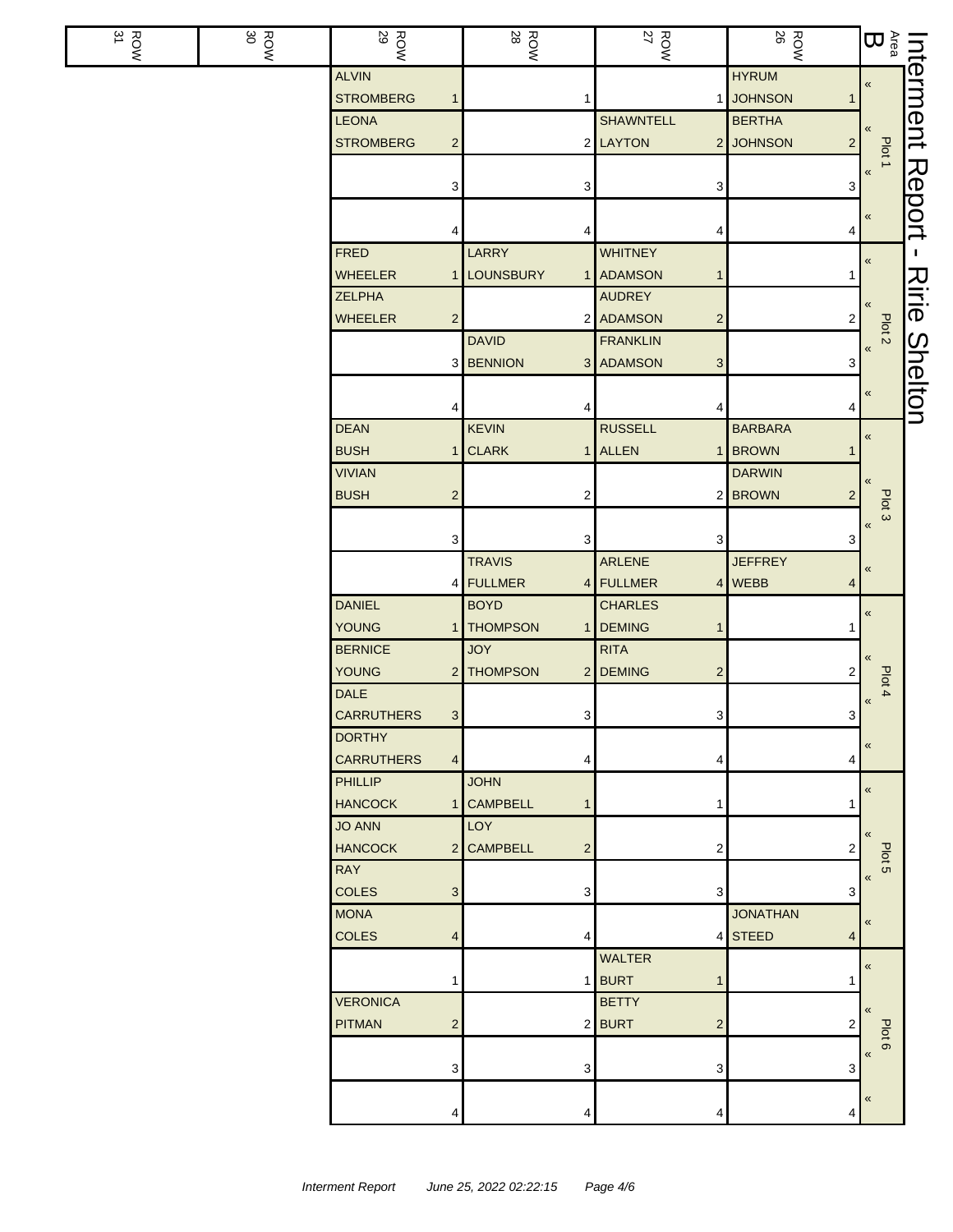| $\frac{ROW}{31}$ | 30<br><b>ROW</b> | <b>ROW</b><br>29                          | ROW<br>28                    | $\frac{ROW}{27}$                         | <b>ROW</b>                  | $\sum\limits_{\alpha\in\mathbb{Q}}$ |                |
|------------------|------------------|-------------------------------------------|------------------------------|------------------------------------------|-----------------------------|-------------------------------------|----------------|
|                  |                  | <b>ALVIN</b>                              |                              |                                          | <b>HYRUM</b>                | «                                   | Interment      |
|                  |                  | <b>STROMBERG</b><br>$\mathbf{1}$          | 1                            |                                          | 1 JOHNSON<br>1              |                                     |                |
|                  |                  | <b>LEONA</b>                              |                              | <b>SHAWNTELL</b>                         | <b>BERTHA</b>               |                                     |                |
|                  |                  | <b>STROMBERG</b><br>$\mathbf{2}$          |                              | 2 LAYTON                                 | 2 JOHNSON<br>2 <sup>1</sup> | Plot 1                              |                |
|                  |                  |                                           |                              |                                          |                             | $\pmb{\langle} \pmb{\langle}$       | Report         |
|                  |                  | 3                                         | 3                            | 3                                        | 3                           |                                     |                |
|                  |                  |                                           |                              |                                          |                             | «                                   |                |
|                  |                  | 4                                         | 4                            | 4                                        | 4                           |                                     |                |
|                  |                  | <b>FRED</b>                               | LARRY                        | WHITNEY                                  |                             | «                                   | т.             |
|                  |                  | <b>WHEELER</b><br>$\mathbf{1}$            | <b>LOUNSBURY</b><br>1        | <b>ADAMSON</b><br>$\mathbf{1}$           |                             |                                     |                |
|                  |                  | <b>ZELPHA</b>                             |                              | <b>AUDREY</b>                            |                             |                                     | スミー            |
|                  |                  | <b>WHEELER</b><br>$\overline{c}$          |                              | 2 ADAMSON<br>$\mathbf 2$                 | $2 \mid$                    | Plot <sub>2</sub>                   |                |
|                  |                  |                                           | <b>DAVID</b>                 | <b>FRANKLIN</b>                          |                             | $\pmb{\kappa}$                      | <b>Shelton</b> |
|                  |                  |                                           | 3 BENNION                    | 3 ADAMSON<br>$\ensuremath{\mathsf{3}}$   | 3                           |                                     |                |
|                  |                  |                                           |                              |                                          |                             | «                                   |                |
|                  |                  | 4                                         |                              | 4                                        | 4                           |                                     |                |
|                  |                  | <b>DEAN</b>                               | <b>KEVIN</b>                 | <b>RUSSELL</b>                           | <b>BARBARA</b>              | $\pmb{\kappa}$                      |                |
|                  |                  | <b>BUSH</b><br>$\mathbf{1}$               | <b>CLARK</b>                 | 1 ALLEN                                  | 1 BROWN<br>1                |                                     |                |
|                  |                  | <b>VIVIAN</b>                             |                              |                                          | <b>DARWIN</b>               |                                     |                |
|                  |                  | <b>BUSH</b><br>$\mathbf{2}$               | 2                            |                                          | 2 BROWN<br>$\overline{2}$   | Plot 3                              |                |
|                  |                  |                                           |                              |                                          |                             | «                                   |                |
|                  |                  | 3                                         | 3                            | 3                                        | 3                           |                                     |                |
|                  |                  |                                           | <b>TRAVIS</b>                | ARLENE                                   | <b>JEFFREY</b>              | «                                   |                |
|                  |                  |                                           | 4 FULLMER<br>4               | FULLMER                                  | 4 WEBB<br>4                 |                                     |                |
|                  |                  | <b>DANIEL</b>                             | <b>BOYD</b>                  | <b>CHARLES</b>                           |                             | $\pmb{\langle} \pmb{\langle}$       |                |
|                  |                  | <b>YOUNG</b><br>$\mathbf{1}$              | <b>THOMPSON</b>              | <b>DEMING</b><br>$\mathbf{1}$            |                             |                                     |                |
|                  |                  | <b>BERNICE</b>                            | <b>JOY</b>                   | <b>RITA</b>                              |                             | «                                   |                |
|                  |                  | <b>YOUNG</b><br>$2 \mid$                  | <b>THOMPSON</b><br>2         | <b>DEMING</b><br>$\overline{\mathbf{c}}$ | 2                           |                                     |                |
|                  |                  | <b>DALE</b>                               |                              |                                          |                             | Plot 4<br>«                         |                |
|                  |                  | <b>CARRUTHERS</b><br>$\mathbf{3}$         | $\mathbf{3}$                 | 3                                        | 3 <sup>1</sup>              |                                     |                |
|                  |                  | <b>DORTHY</b>                             |                              |                                          |                             |                                     |                |
|                  |                  | <b>CARRUTHERS</b><br>4                    | 4                            | 4                                        | 4                           | «                                   |                |
|                  |                  | <b>PHILLIP</b>                            | <b>JOHN</b>                  |                                          |                             |                                     |                |
|                  |                  | <b>HANCOCK</b><br>1                       | <b>CAMPBELL</b><br>1         | 1                                        |                             | «                                   |                |
|                  |                  | <b>JO ANN</b>                             | <b>LOY</b>                   |                                          |                             |                                     |                |
|                  |                  | <b>HANCOCK</b>                            | 2 CAMPBELL<br>$\overline{c}$ | 2                                        | 2                           | $\pmb{\langle} \pmb{\langle}$       |                |
|                  |                  | <b>RAY</b>                                |                              |                                          |                             | Plot 5                              |                |
|                  |                  | <b>COLES</b><br>$\ensuremath{\mathsf{3}}$ | 3                            | 3                                        | 3                           | $\pmb{\ll}$                         |                |
|                  |                  | <b>MONA</b>                               |                              |                                          | <b>JONATHAN</b>             |                                     |                |
|                  |                  | <b>COLES</b><br>$\overline{4}$            | 4                            |                                          | 4 STEED<br>4                | $\pmb{\ll}$                         |                |
|                  |                  |                                           |                              | <b>WALTER</b>                            |                             |                                     |                |
|                  |                  | 1                                         |                              | 1 BURT<br>$\mathbf{1}$                   | 1                           | $\pmb{\langle} \pmb{\langle}$       |                |
|                  |                  | <b>VERONICA</b>                           |                              | <b>BETTY</b>                             |                             |                                     |                |
|                  |                  | <b>PITMAN</b>                             |                              |                                          | 2                           | $\ll$                               |                |
|                  |                  | $\overline{c}$                            |                              | $2$ <b>BURT</b><br>$\overline{c}$        |                             | Plot 6                              |                |
|                  |                  |                                           |                              |                                          |                             | $\pmb{\mathsf{M}}$                  |                |
|                  |                  | $\ensuremath{\mathsf{3}}$                 | 3                            | 3                                        | 3                           |                                     |                |
|                  |                  |                                           |                              |                                          |                             | $\pmb{\langle} \pmb{\langle}$       |                |
|                  |                  | 4                                         | 4                            | 4                                        | 4                           |                                     |                |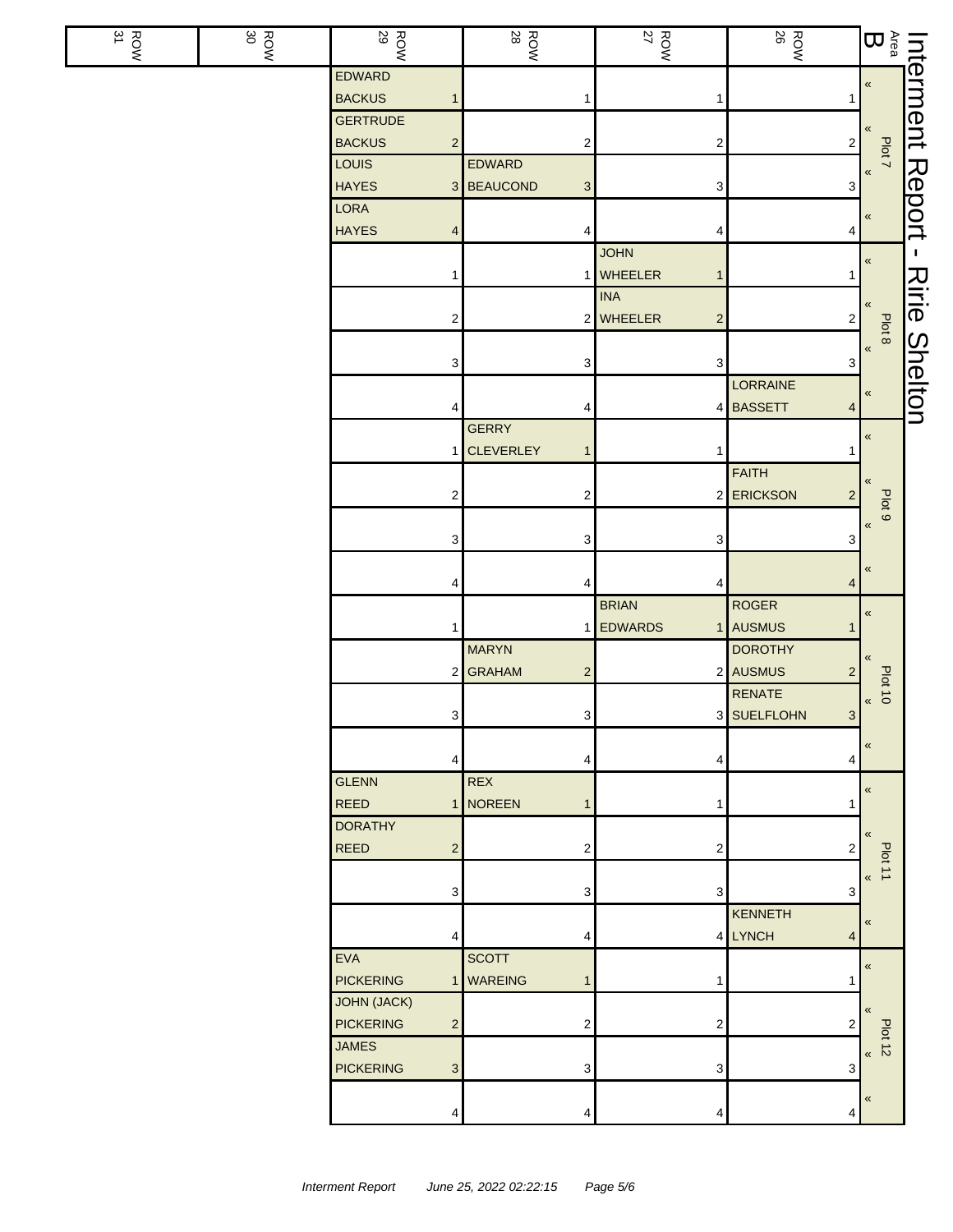| $\frac{ROW}{31}$ | ROW<br>30 | <b>ROW</b>                         | <b>ROW</b>                 | <b>ROW</b><br>27          | <b>ROW</b>                                  | Interment<br>Area<br>B<br>B<br>B<br>B<br>B<br>B<br>B<br>B<br>B<br>B<br>B<br>B<br>B |                |
|------------------|-----------|------------------------------------|----------------------------|---------------------------|---------------------------------------------|------------------------------------------------------------------------------------|----------------|
|                  |           | <b>EDWARD</b>                      |                            |                           |                                             |                                                                                    |                |
|                  |           | <b>BACKUS</b><br>1                 |                            | 1                         | 1                                           |                                                                                    |                |
|                  |           | <b>GERTRUDE</b>                    |                            |                           |                                             |                                                                                    |                |
|                  |           | <b>BACKUS</b><br>$\overline{c}$    | 2                          | 2                         | $\overline{\mathbf{c}}$                     | Plot 7                                                                             |                |
|                  |           | LOUIS                              | EDWARD                     |                           |                                             | $\,\,\ll$                                                                          |                |
|                  |           | <b>HAYES</b><br><b>LORA</b>        | 3 BEAUCOND<br>3            | 3                         | 3                                           |                                                                                    |                |
|                  |           | <b>HAYES</b>                       | 4                          |                           |                                             | $\,\,\ll$                                                                          | Report         |
|                  |           | 4                                  |                            | 4<br><b>JOHN</b>          | 4                                           |                                                                                    | T.             |
|                  |           | 1                                  |                            | <b>WHEELER</b><br>1       |                                             | $\pmb{\ll}$                                                                        |                |
|                  |           |                                    |                            | <b>INA</b>                |                                             |                                                                                    |                |
|                  |           | $\overline{\mathbf{c}}$            | 2                          | WHEELER<br>$\overline{c}$ | $\overline{\mathbf{c}}$                     | «                                                                                  | Ririe          |
|                  |           |                                    |                            |                           |                                             | Plot 8                                                                             |                |
|                  |           | 3                                  | 3                          | 3                         | 3                                           | $\,\,\ll$                                                                          | <b>Shelton</b> |
|                  |           |                                    |                            |                           | LORRAINE                                    | «                                                                                  |                |
|                  |           | 4                                  | 4                          |                           | 4 BASSETT<br>4                              |                                                                                    |                |
|                  |           |                                    | <b>GERRY</b>               |                           |                                             | $\pmb{\ll}$                                                                        |                |
|                  |           |                                    | 1 CLEVERLEY<br>1           |                           |                                             |                                                                                    |                |
|                  |           |                                    |                            |                           | FAITH                                       |                                                                                    |                |
|                  |           | $\overline{\mathbf{c}}$            | 2                          |                           | 2 ERICKSON<br>$\overline{c}$                | Plot 9                                                                             |                |
|                  |           |                                    |                            |                           |                                             | $\pmb{\langle} \pmb{\langle}$                                                      |                |
|                  |           | 3                                  | 3                          | 3                         | 3                                           |                                                                                    |                |
|                  |           |                                    |                            |                           |                                             | «                                                                                  |                |
|                  |           | 4                                  | 4                          | 4                         | 4                                           |                                                                                    |                |
|                  |           |                                    |                            | <b>BRIAN</b>              | <b>ROGER</b>                                | $\pmb{\kappa}$                                                                     |                |
|                  |           | $\mathbf{1}$                       |                            | <b>EDWARDS</b>            | 1 AUSMUS                                    |                                                                                    |                |
|                  |           |                                    | <b>MARYN</b>               |                           | <b>DOROTHY</b>                              | «                                                                                  |                |
|                  |           |                                    | 2 GRAHAM<br>$\overline{c}$ |                           | 2 AUSMUS<br>$\overline{c}$<br><b>RENATE</b> | <b>Plot 10</b>                                                                     |                |
|                  |           | 3                                  | 3                          |                           | 3 SUELFLOHN<br>$\mathbf{3}$                 | $\,\,\ll$                                                                          |                |
|                  |           |                                    |                            |                           |                                             |                                                                                    |                |
|                  |           | 4                                  | 4                          | 4                         | 4                                           | $\pmb{\ll}$                                                                        |                |
|                  |           | <b>GLENN</b>                       | <b>REX</b>                 |                           |                                             |                                                                                    |                |
|                  |           | <b>REED</b>                        | 1 NOREEN<br>1              |                           |                                             | $\pmb{\langle} \pmb{\langle}$                                                      |                |
|                  |           | <b>DORATHY</b>                     |                            |                           |                                             |                                                                                    |                |
|                  |           | <b>REED</b><br>$\overline{c}$      | 2                          | $\overline{c}$            | 2                                           | $\ll$                                                                              |                |
|                  |           |                                    |                            |                           |                                             | Plot 11<br>$\ll$                                                                   |                |
|                  |           | 3                                  | 3                          | 3                         | 3                                           |                                                                                    |                |
|                  |           |                                    |                            |                           | <b>KENNETH</b>                              | $\pmb{\langle} \pmb{\langle}$                                                      |                |
|                  |           | 4                                  | 4                          |                           | 4 LYNCH<br>4                                |                                                                                    |                |
|                  |           | <b>EVA</b>                         | <b>SCOTT</b>               |                           |                                             | $\pmb{\langle} \pmb{\langle}$                                                      |                |
|                  |           | <b>PICKERING</b>                   | 1 WAREING<br>1             | 1                         |                                             |                                                                                    |                |
|                  |           | <b>JOHN (JACK)</b>                 |                            |                           |                                             | $\ll$                                                                              |                |
|                  |           | <b>PICKERING</b><br>$\overline{c}$ | 2                          | 2                         | 2                                           | Plot 12                                                                            |                |
|                  |           | <b>JAMES</b>                       |                            |                           |                                             |                                                                                    |                |
|                  |           | <b>PICKERING</b><br>$\mathbf{3}$   | 3                          | 3                         | 3                                           |                                                                                    |                |
|                  |           |                                    |                            |                           |                                             | «                                                                                  |                |
|                  |           | 4                                  | 4                          | 4                         | 4                                           |                                                                                    |                |